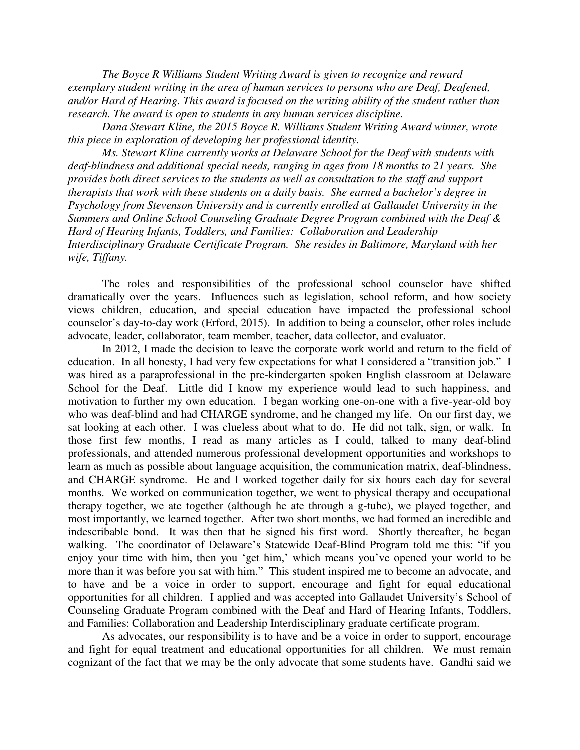*The Boyce R Williams Student Writing Award is given to recognize and reward exemplary student writing in the area of human services to persons who are Deaf, Deafened, and/or Hard of Hearing. This award is focused on the writing ability of the student rather than research. The award is open to students in any human services discipline.* 

*Dana Stewart Kline, the 2015 Boyce R. Williams Student Writing Award winner, wrote this piece in exploration of developing her professional identity.* 

*Ms. Stewart Kline currently works at Delaware School for the Deaf with students with deaf-blindness and additional special needs, ranging in ages from 18 months to 21 years. She provides both direct services to the students as well as consultation to the staff and support therapists that work with these students on a daily basis. She earned a bachelor's degree in Psychology from Stevenson University and is currently enrolled at Gallaudet University in the Summers and Online School Counseling Graduate Degree Program combined with the Deaf & Hard of Hearing Infants, Toddlers, and Families: Collaboration and Leadership Interdisciplinary Graduate Certificate Program. She resides in Baltimore, Maryland with her wife, Tiffany.* 

The roles and responsibilities of the professional school counselor have shifted dramatically over the years. Influences such as legislation, school reform, and how society views children, education, and special education have impacted the professional school counselor's day-to-day work (Erford, 2015). In addition to being a counselor, other roles include advocate, leader, collaborator, team member, teacher, data collector, and evaluator.

In 2012, I made the decision to leave the corporate work world and return to the field of education. In all honesty, I had very few expectations for what I considered a "transition job." I was hired as a paraprofessional in the pre-kindergarten spoken English classroom at Delaware School for the Deaf. Little did I know my experience would lead to such happiness, and motivation to further my own education. I began working one-on-one with a five-year-old boy who was deaf-blind and had CHARGE syndrome, and he changed my life. On our first day, we sat looking at each other. I was clueless about what to do. He did not talk, sign, or walk. In those first few months, I read as many articles as I could, talked to many deaf-blind professionals, and attended numerous professional development opportunities and workshops to learn as much as possible about language acquisition, the communication matrix, deaf-blindness, and CHARGE syndrome. He and I worked together daily for six hours each day for several months. We worked on communication together, we went to physical therapy and occupational therapy together, we ate together (although he ate through a g-tube), we played together, and most importantly, we learned together. After two short months, we had formed an incredible and indescribable bond. It was then that he signed his first word. Shortly thereafter, he began walking. The coordinator of Delaware's Statewide Deaf-Blind Program told me this: "if you enjoy your time with him, then you 'get him,' which means you've opened your world to be more than it was before you sat with him." This student inspired me to become an advocate, and to have and be a voice in order to support, encourage and fight for equal educational opportunities for all children. I applied and was accepted into Gallaudet University's School of Counseling Graduate Program combined with the Deaf and Hard of Hearing Infants, Toddlers, and Families: Collaboration and Leadership Interdisciplinary graduate certificate program.

As advocates, our responsibility is to have and be a voice in order to support, encourage and fight for equal treatment and educational opportunities for all children. We must remain cognizant of the fact that we may be the only advocate that some students have. Gandhi said we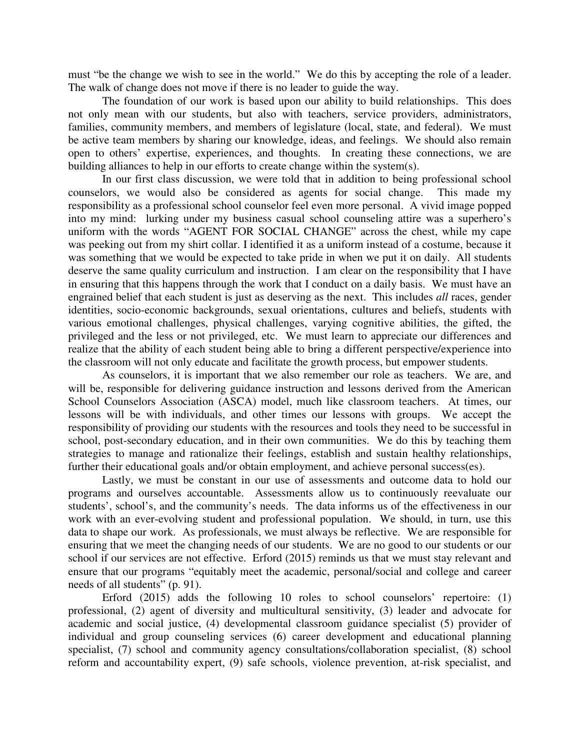must "be the change we wish to see in the world." We do this by accepting the role of a leader. The walk of change does not move if there is no leader to guide the way.

The foundation of our work is based upon our ability to build relationships. This does not only mean with our students, but also with teachers, service providers, administrators, families, community members, and members of legislature (local, state, and federal). We must be active team members by sharing our knowledge, ideas, and feelings. We should also remain open to others' expertise, experiences, and thoughts. In creating these connections, we are building alliances to help in our efforts to create change within the system(s).

In our first class discussion, we were told that in addition to being professional school counselors, we would also be considered as agents for social change. This made my responsibility as a professional school counselor feel even more personal. A vivid image popped into my mind: lurking under my business casual school counseling attire was a superhero's uniform with the words "AGENT FOR SOCIAL CHANGE" across the chest, while my cape was peeking out from my shirt collar. I identified it as a uniform instead of a costume, because it was something that we would be expected to take pride in when we put it on daily. All students deserve the same quality curriculum and instruction. I am clear on the responsibility that I have in ensuring that this happens through the work that I conduct on a daily basis. We must have an engrained belief that each student is just as deserving as the next. This includes *all* races, gender identities, socio-economic backgrounds, sexual orientations, cultures and beliefs, students with various emotional challenges, physical challenges, varying cognitive abilities, the gifted, the privileged and the less or not privileged, etc. We must learn to appreciate our differences and realize that the ability of each student being able to bring a different perspective/experience into the classroom will not only educate and facilitate the growth process, but empower students.

As counselors, it is important that we also remember our role as teachers. We are, and will be, responsible for delivering guidance instruction and lessons derived from the American School Counselors Association (ASCA) model, much like classroom teachers. At times, our lessons will be with individuals, and other times our lessons with groups. We accept the responsibility of providing our students with the resources and tools they need to be successful in school, post-secondary education, and in their own communities. We do this by teaching them strategies to manage and rationalize their feelings, establish and sustain healthy relationships, further their educational goals and/or obtain employment, and achieve personal success(es).

Lastly, we must be constant in our use of assessments and outcome data to hold our programs and ourselves accountable. Assessments allow us to continuously reevaluate our students', school's, and the community's needs. The data informs us of the effectiveness in our work with an ever-evolving student and professional population. We should, in turn, use this data to shape our work. As professionals, we must always be reflective. We are responsible for ensuring that we meet the changing needs of our students. We are no good to our students or our school if our services are not effective. Erford (2015) reminds us that we must stay relevant and ensure that our programs "equitably meet the academic, personal/social and college and career needs of all students" (p. 91).

Erford (2015) adds the following 10 roles to school counselors' repertoire: (1) professional, (2) agent of diversity and multicultural sensitivity, (3) leader and advocate for academic and social justice, (4) developmental classroom guidance specialist (5) provider of individual and group counseling services (6) career development and educational planning specialist, (7) school and community agency consultations/collaboration specialist, (8) school reform and accountability expert, (9) safe schools, violence prevention, at-risk specialist, and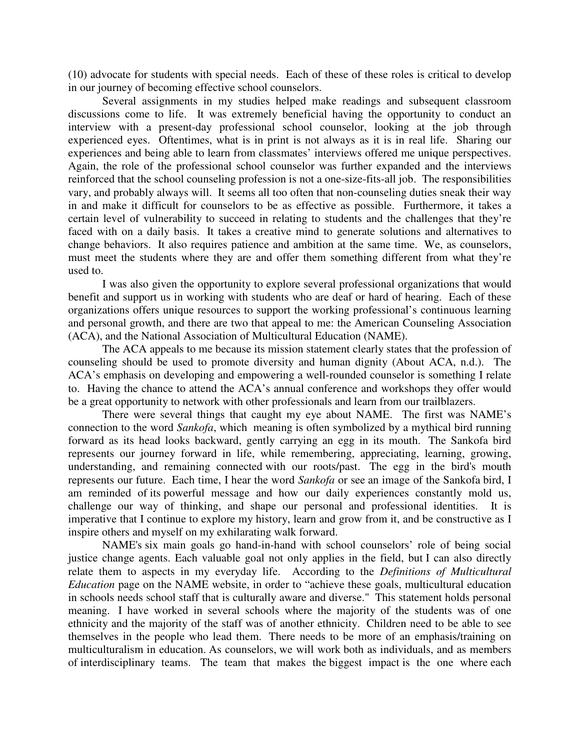(10) advocate for students with special needs. Each of these of these roles is critical to develop in our journey of becoming effective school counselors.

Several assignments in my studies helped make readings and subsequent classroom discussions come to life. It was extremely beneficial having the opportunity to conduct an interview with a present-day professional school counselor, looking at the job through experienced eyes. Oftentimes, what is in print is not always as it is in real life. Sharing our experiences and being able to learn from classmates' interviews offered me unique perspectives. Again, the role of the professional school counselor was further expanded and the interviews reinforced that the school counseling profession is not a one-size-fits-all job. The responsibilities vary, and probably always will. It seems all too often that non-counseling duties sneak their way in and make it difficult for counselors to be as effective as possible. Furthermore, it takes a certain level of vulnerability to succeed in relating to students and the challenges that they're faced with on a daily basis. It takes a creative mind to generate solutions and alternatives to change behaviors. It also requires patience and ambition at the same time. We, as counselors, must meet the students where they are and offer them something different from what they're used to.

 I was also given the opportunity to explore several professional organizations that would benefit and support us in working with students who are deaf or hard of hearing. Each of these organizations offers unique resources to support the working professional's continuous learning and personal growth, and there are two that appeal to me: the American Counseling Association (ACA), and the National Association of Multicultural Education (NAME).

 The ACA appeals to me because its mission statement clearly states that the profession of counseling should be used to promote diversity and human dignity (About ACA, n.d.). The ACA's emphasis on developing and empowering a well-rounded counselor is something I relate to. Having the chance to attend the ACA's annual conference and workshops they offer would be a great opportunity to network with other professionals and learn from our trailblazers.

There were several things that caught my eye about NAME. The first was NAME's connection to the word *Sankofa*, which meaning is often symbolized by a mythical bird running forward as its head looks backward, gently carrying an egg in its mouth. The Sankofa bird represents our journey forward in life, while remembering, appreciating, learning, growing, understanding, and remaining connected with our roots/past. The egg in the bird's mouth represents our future. Each time, I hear the word *Sankofa* or see an image of the Sankofa bird, I am reminded of its powerful message and how our daily experiences constantly mold us, challenge our way of thinking, and shape our personal and professional identities. It is imperative that I continue to explore my history, learn and grow from it, and be constructive as I inspire others and myself on my exhilarating walk forward.

NAME's six main goals go hand-in-hand with school counselors' role of being social justice change agents. Each valuable goal not only applies in the field, but I can also directly relate them to aspects in my everyday life. According to the *Definitions of Multicultural Education* page on the NAME website, in order to "achieve these goals, multicultural education in schools needs school staff that is culturally aware and diverse." This statement holds personal meaning. I have worked in several schools where the majority of the students was of one ethnicity and the majority of the staff was of another ethnicity. Children need to be able to see themselves in the people who lead them. There needs to be more of an emphasis/training on multiculturalism in education. As counselors, we will work both as individuals, and as members of interdisciplinary teams. The team that makes the biggest impact is the one where each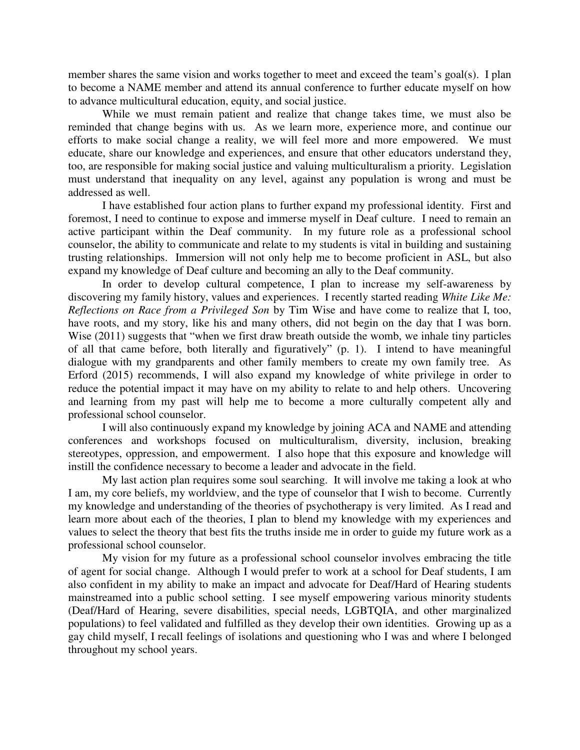member shares the same vision and works together to meet and exceed the team's goal(s). I plan to become a NAME member and attend its annual conference to further educate myself on how to advance multicultural education, equity, and social justice.

While we must remain patient and realize that change takes time, we must also be reminded that change begins with us. As we learn more, experience more, and continue our efforts to make social change a reality, we will feel more and more empowered. We must educate, share our knowledge and experiences, and ensure that other educators understand they, too, are responsible for making social justice and valuing multiculturalism a priority. Legislation must understand that inequality on any level, against any population is wrong and must be addressed as well.

I have established four action plans to further expand my professional identity. First and foremost, I need to continue to expose and immerse myself in Deaf culture. I need to remain an active participant within the Deaf community. In my future role as a professional school counselor, the ability to communicate and relate to my students is vital in building and sustaining trusting relationships. Immersion will not only help me to become proficient in ASL, but also expand my knowledge of Deaf culture and becoming an ally to the Deaf community.

In order to develop cultural competence, I plan to increase my self-awareness by discovering my family history, values and experiences. I recently started reading *White Like Me: Reflections on Race from a Privileged Son* by Tim Wise and have come to realize that I, too, have roots, and my story, like his and many others, did not begin on the day that I was born. Wise (2011) suggests that "when we first draw breath outside the womb, we inhale tiny particles of all that came before, both literally and figuratively" (p. 1). I intend to have meaningful dialogue with my grandparents and other family members to create my own family tree. As Erford (2015) recommends, I will also expand my knowledge of white privilege in order to reduce the potential impact it may have on my ability to relate to and help others. Uncovering and learning from my past will help me to become a more culturally competent ally and professional school counselor.

I will also continuously expand my knowledge by joining ACA and NAME and attending conferences and workshops focused on multiculturalism, diversity, inclusion, breaking stereotypes, oppression, and empowerment. I also hope that this exposure and knowledge will instill the confidence necessary to become a leader and advocate in the field.

My last action plan requires some soul searching. It will involve me taking a look at who I am, my core beliefs, my worldview, and the type of counselor that I wish to become. Currently my knowledge and understanding of the theories of psychotherapy is very limited. As I read and learn more about each of the theories, I plan to blend my knowledge with my experiences and values to select the theory that best fits the truths inside me in order to guide my future work as a professional school counselor.

My vision for my future as a professional school counselor involves embracing the title of agent for social change. Although I would prefer to work at a school for Deaf students, I am also confident in my ability to make an impact and advocate for Deaf/Hard of Hearing students mainstreamed into a public school setting. I see myself empowering various minority students (Deaf/Hard of Hearing, severe disabilities, special needs, LGBTQIA, and other marginalized populations) to feel validated and fulfilled as they develop their own identities. Growing up as a gay child myself, I recall feelings of isolations and questioning who I was and where I belonged throughout my school years.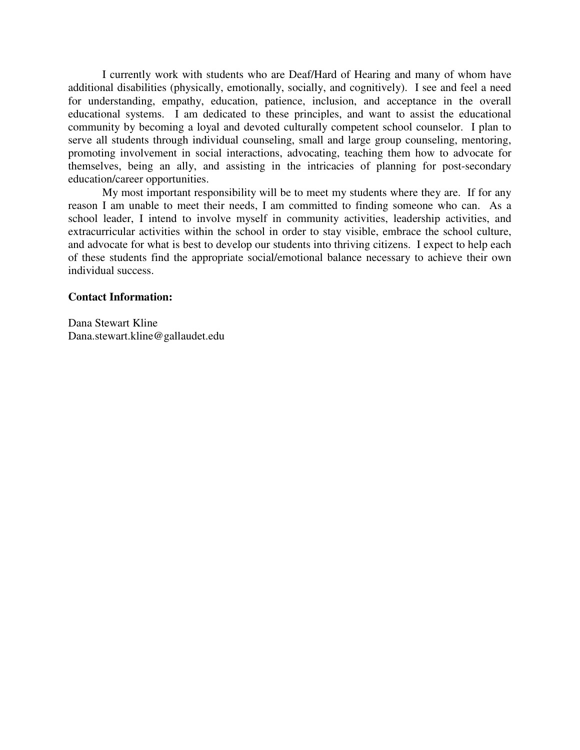I currently work with students who are Deaf/Hard of Hearing and many of whom have additional disabilities (physically, emotionally, socially, and cognitively). I see and feel a need for understanding, empathy, education, patience, inclusion, and acceptance in the overall educational systems. I am dedicated to these principles, and want to assist the educational community by becoming a loyal and devoted culturally competent school counselor. I plan to serve all students through individual counseling, small and large group counseling, mentoring, promoting involvement in social interactions, advocating, teaching them how to advocate for themselves, being an ally, and assisting in the intricacies of planning for post-secondary education/career opportunities.

My most important responsibility will be to meet my students where they are. If for any reason I am unable to meet their needs, I am committed to finding someone who can. As a school leader, I intend to involve myself in community activities, leadership activities, and extracurricular activities within the school in order to stay visible, embrace the school culture, and advocate for what is best to develop our students into thriving citizens. I expect to help each of these students find the appropriate social/emotional balance necessary to achieve their own individual success.

## **Contact Information:**

Dana Stewart Kline Dana.stewart.kline@gallaudet.edu